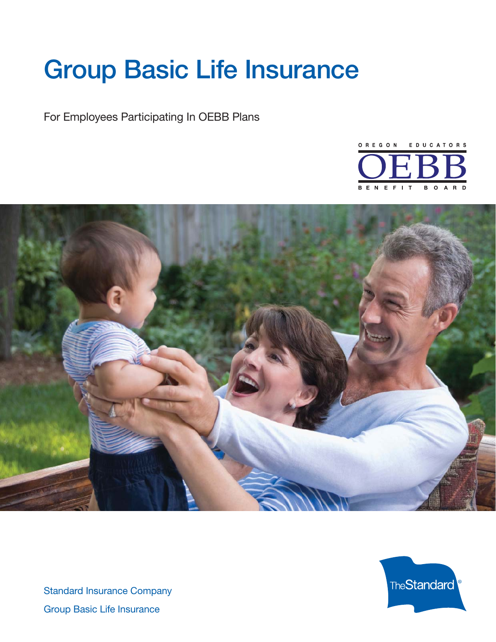# **Group Basic Life Insurance**

For Employees Participating In OEBB Plans







Standard Insurance Company Group Basic Life Insurance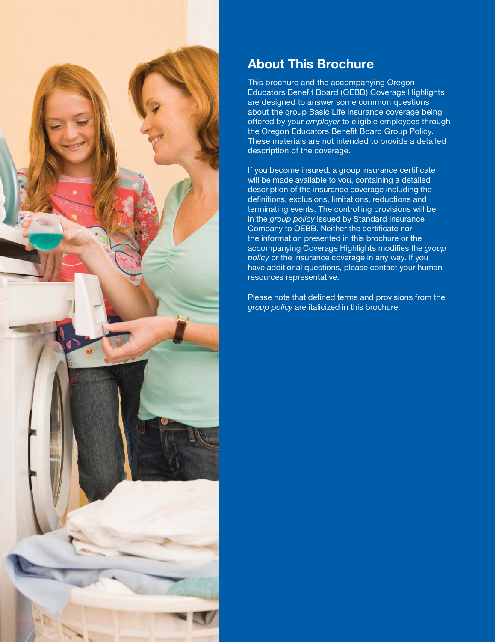

# **About This Brochure**

This brochure and the accompanying Oregon Educators Benefit Board (OEBB) Coverage Highlights are designed to answer some common questions about the group Basic Life insurance coverage being offered by your *employer* to eligible employees through the Oregon Educators Benefit Board Group Policy. These materials are not intended to provide a detailed description of the coverage.

If you become insured, a group insurance certificate will be made available to you, containing a detailed description of the insurance coverage including the definitions, exclusions, limitations, reductions and terminating events. The controlling provisions will be in the *group policy* issued by Standard Insurance Company to OEBB. Neither the certificate nor the information presented in this brochure or the accompanying Coverage Highlights modifies the *group policy* or the insurance coverage in any way. If you have additional questions, please contact your human resources representative.

Please note that defined terms and provisions from the *group policy* are italicized in this brochure.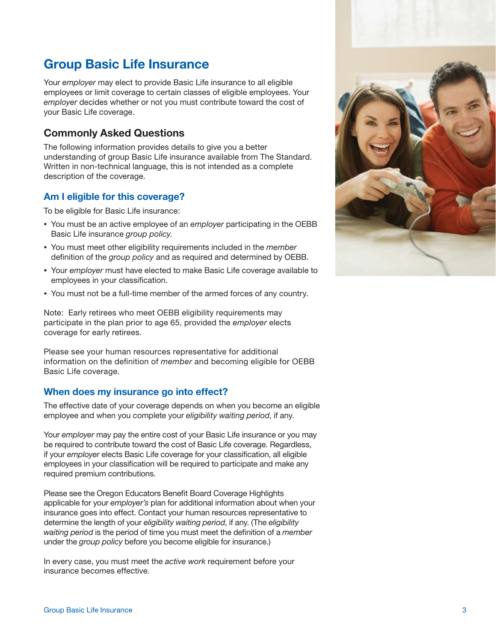# **Group Basic Life Insurance**

Your *employer* may elect to provide Basic Life insurance to all eligible employees or limit coverage to certain classes of eligible employees. Your *employer* decides whether or not you must contribute toward the cost of your Basic Life coverage.

# **Commonly Asked Questions**

The following information provides details to give you a better understanding of group Basic Life insurance available from The Standard. Written in non-technical language, this is not intended as a complete description of the coverage.

## **Am I eligible for this coverage?**

To be eligible for Basic Life insurance:

- You must be an active employee of an *employer* participating in the OEBB Basic Life insurance *group policy*.
- You must meet other eligibility requirements included in the *member* definition of the *group policy* and as required and determined by OEBB.
- Your *employer* must have elected to make Basic Life coverage available to employees in your classification.
- You must not be a full-time member of the armed forces of any country.

Note: Early retirees who meet OEBB eligibility requirements may participate in the plan prior to age 65, provided the *employer* elects coverage for early retirees.

Please see your human resources representative for additional information on the definition of *member* and becoming eligible for OEBB Basic Life coverage.

#### **When does my insurance go into effect?**

The effective date of your coverage depends on when you become an eligible employee and when you complete your *eligibility waiting period*, if any.

Your *employer* may pay the entire cost of your Basic Life insurance or you may be required to contribute toward the cost of Basic Life coverage. Regardless, if your *employer* elects Basic Life coverage for your classification, all eligible employees in your classification will be required to participate and make any required premium contributions.

Please see the Oregon Educators Benefit Board Coverage Highlights applicable for your *employer's* plan for additional information about when your insurance goes into effect. Contact your human resources representative to determine the length of your *eligibility waiting period*, if any. (The *eligibility waiting period* is the period of time you must meet the definition of a *member* under the *group policy* before you become eligible for insurance.)

In every case, you must meet the *active work* requirement before your insurance becomes effective.

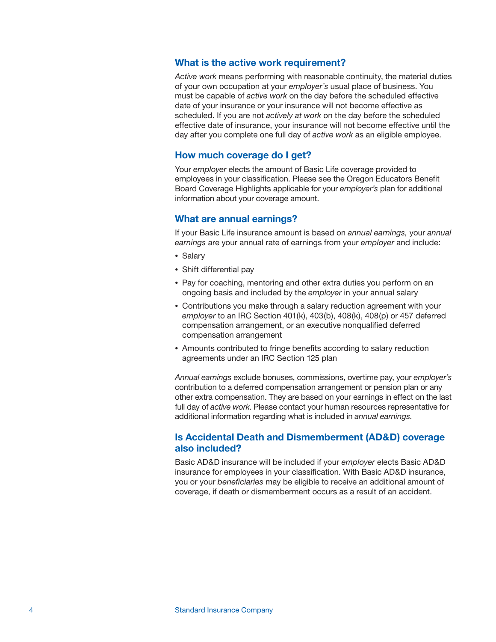## **What is the active work requirement?**

*Active work* means performing with reasonable continuity, the material duties of your own occupation at your *employer's* usual place of business. You must be capable of *active work* on the day before the scheduled effective date of your insurance or your insurance will not become effective as scheduled. If you are not *actively at work* on the day before the scheduled effective date of insurance, your insurance will not become effective until the day after you complete one full day of *active work* as an eligible employee.

#### **How much coverage do I get?**

Your *employer* elects the amount of Basic Life coverage provided to employees in your classification. Please see the Oregon Educators Benefit Board Coverage Highlights applicable for your *employer's* plan for additional information about your coverage amount.

#### **What are annual earnings?**

If your Basic Life insurance amount is based on *annual earnings,* your *annual earnings* are your annual rate of earnings from your *employer* and include:

- Salary
- Shift differential pay
- Pay for coaching, mentoring and other extra duties you perform on an ongoing basis and included by the *employer* in your annual salary
- Contributions you make through a salary reduction agreement with your *employer* to an IRC Section 401(k), 403(b), 408(k), 408(p) or 457 deferred compensation arrangement, or an executive nonqualified deferred compensation arrangement
- Amounts contributed to fringe benefits according to salary reduction agreements under an IRC Section 125 plan

*Annual earnings* exclude bonuses, commissions, overtime pay, your *employer's* contribution to a deferred compensation arrangement or pension plan or any other extra compensation. They are based on your earnings in effect on the last full day of *active work*. Please contact your human resources representative for additional information regarding what is included in *annual earnings*.

# **Is Accidental Death and Dismemberment (AD&D) coverage also included?**

Basic AD&D insurance will be included if your *employer* elects Basic AD&D insurance for employees in your classification. With Basic AD&D insurance, you or your *beneficiaries* may be eligible to receive an additional amount of coverage, if death or dismemberment occurs as a result of an accident.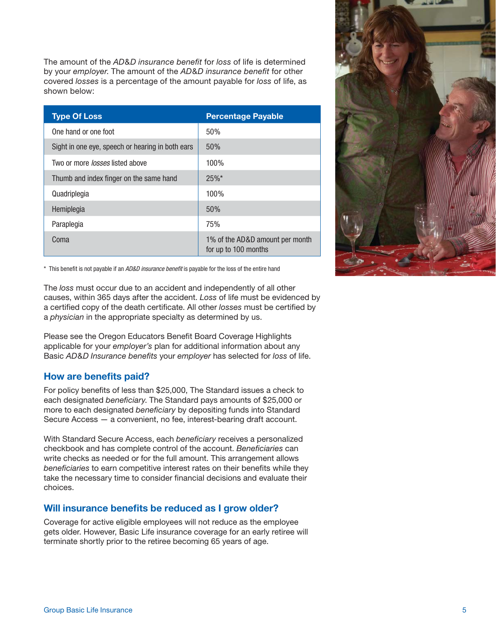The amount of the *AD&D insurance benefit* for *loss* of life is determined by your *employer*. The amount of the AD&D insurance benefit for other covered *losses* is a percentage of the amount payable for *loss* of life, as shown below:

| <b>Type Of Loss</b>                              | <b>Percentage Payable</b>                               |
|--------------------------------------------------|---------------------------------------------------------|
| One hand or one foot                             | 50%                                                     |
| Sight in one eye, speech or hearing in both ears | 50%                                                     |
| Two or more <i>losses</i> listed above           | 100%                                                    |
| Thumb and index finger on the same hand          | 25%                                                     |
| Quadriplegia                                     | 100%                                                    |
| Hemiplegia                                       | 50%                                                     |
| Paraplegia                                       | 75%                                                     |
| Coma                                             | 1% of the AD&D amount per month<br>for up to 100 months |



\* This benefit is not payable if an *AD&D insurance benefit* is payable for the loss of the entire hand

The *loss* must occur due to an accident and independently of all other causes, within 365 days after the accident. *Loss* of life must be evidenced by a certified copy of the death certificate. All other *losses* must be certified by a *physician* in the appropriate specialty as determined by us.

Please see the Oregon Educators Benefit Board Coverage Highlights applicable for your *employer's* plan for additional information about any Basic *AD&D* Insurance benefits your *employer* has selected for loss of life.

# **How are benefits paid?**

For policy benefits of less than \$25,000, The Standard issues a check to each designated *beneficiary*. The Standard pays amounts of \$25,000 or more to each designated *beneficiary* by depositing funds into Standard Secure Access — a convenient, no fee, interest-bearing draft account.

With Standard Secure Access, each *beneficiary* receives a personalized checkbook and has complete control of the account. Beneficiaries can write checks as needed or for the full amount. This arrangement allows *beneficiaries* to earn competitive interest rates on their benefits while they take the necessary time to consider financial decisions and evaluate their choices.

# **Will insurance benefits be reduced as I grow older?**

Coverage for active eligible employees will not reduce as the employee gets older. However, Basic Life insurance coverage for an early retiree will terminate shortly prior to the retiree becoming 65 years of age.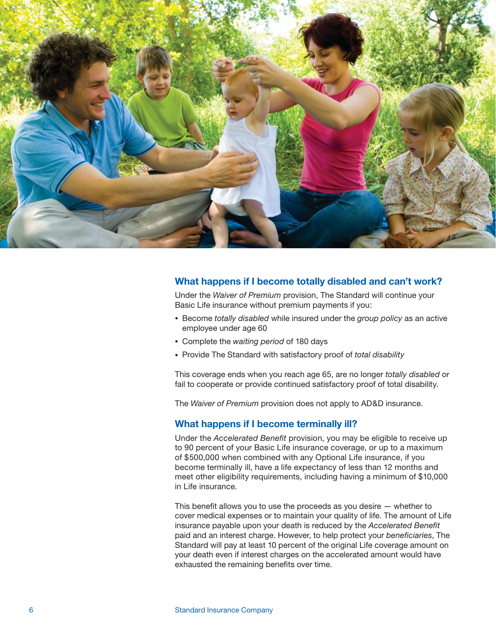

#### **What happens if I become totally disabled and can't work?**

Under the *Waiver of Premium* provision, The Standard will continue your Basic Life insurance without premium payments if you:

- Become *totally disabled* while insured under the *group policy* as an active employee under age 60
- Complete the *waiting period* of 180 days
- Provide The Standard with satisfactory proof of *total disability*

This coverage ends when you reach age 65, are no longer *totally disabled* or fail to cooperate or provide continued satisfactory proof of total disability.

The *Waiver of Premium* provision does not apply to AD&D insurance.

#### **What happens if I become terminally ill?**

Under the *Accelerated Benefit* provision, you may be eligible to receive up to 90 percent of your Basic Life insurance coverage, or up to a maximum of \$500,000 when combined with any Optional Life insurance, if you become terminally ill, have a life expectancy of less than 12 months and meet other eligibility requirements, including having a minimum of \$10,000 in Life insurance.

This benefit allows you to use the proceeds as you desire  $-$  whether to cover medical expenses or to maintain your quality of life. The amount of Life insurance payable upon your death is reduced by the Accelerated Benefit paid and an interest charge. However, to help protect your *beneficiaries*, The Standard will pay at least 10 percent of the original Life coverage amount on your death even if interest charges on the accelerated amount would have exhausted the remaining benefits over time.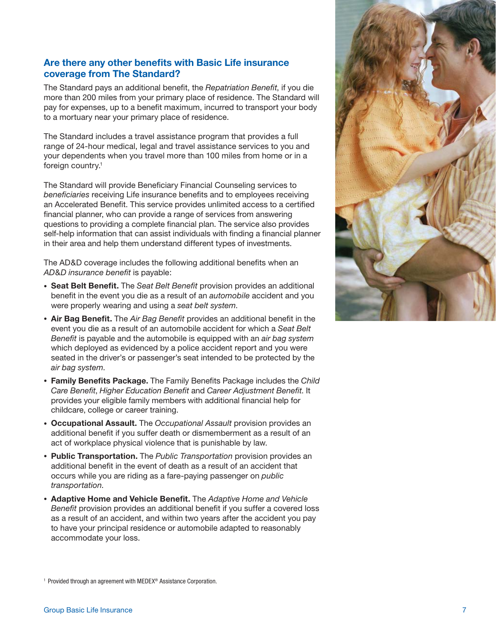# Are there any other benefits with Basic Life insurance **coverage from The Standard?**

The Standard pays an additional benefit, the *Repatriation Benefit*, if you die more than 200 miles from your primary place of residence. The Standard will pay for expenses, up to a benefit maximum, incurred to transport your body to a mortuary near your primary place of residence.

The Standard includes a travel assistance program that provides a full range of 24-hour medical, legal and travel assistance services to you and your dependents when you travel more than 100 miles from home or in a foreign country.1

The Standard will provide Beneficiary Financial Counseling services to **beneficiaries** receiving Life insurance benefits and to employees receiving an Accelerated Benefit. This service provides unlimited access to a certified financial planner, who can provide a range of services from answering questions to providing a complete financial plan. The service also provides self-help information that can assist individuals with finding a financial planner in their area and help them understand different types of investments.

The AD&D coverage includes the following additional benefits when an AD&D insurance benefit is payable:

- Seat Belt Benefit. The *Seat Belt Benefit* provision provides an additional benefit in the event you die as a result of an *automobile* accident and you were properly wearing and using a *seat belt system*.
- Air Bag Benefit. The Air Bag Benefit provides an additional benefit in the event you die as a result of an automobile accident for which a *Seat Belt Benefit* is payable and the automobile is equipped with an *air bag system* which deployed as evidenced by a police accident report and you were seated in the driver's or passenger's seat intended to be protected by the *air bag system*.
- Family Benefits Package. The Family Benefits Package includes the *Child Care Benefit, Higher Education Benefit and Career Adjustment Benefit. It* provides your eligible family members with additional financial help for childcare, college or career training.
- **Occupational Assault.** The *Occupational Assault* provision provides an additional benefit if you suffer death or dismemberment as a result of an act of workplace physical violence that is punishable by law.
- **Public Transportation.** The *Public Transportation* provision provides an additional benefit in the event of death as a result of an accident that occurs while you are riding as a fare-paying passenger on *public transportation*.
- Adaptive Home and Vehicle Benefit. The *Adaptive Home and Vehicle* Benefit provision provides an additional benefit if you suffer a covered loss as a result of an accident, and within two years after the accident you pay to have your principal residence or automobile adapted to reasonably accommodate your loss.



<sup>&</sup>lt;sup>1</sup> Provided through an agreement with MEDEX<sup>®</sup> Assistance Corporation.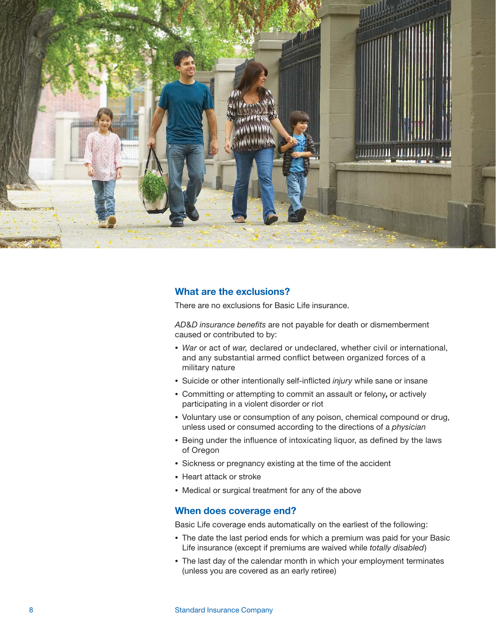

# **What are the exclusions?**

There are no exclusions for Basic Life insurance.

AD&D insurance benefits are not payable for death or dismemberment caused or contributed to by:

- *War* or act of *war,* declared or undeclared, whether civil or international, and any substantial armed conflict between organized forces of a military nature
- Suicide or other intentionally self-inflicted *injury* while sane or insane
- Committing or attempting to commit an assault or felony**,** or actively participating in a violent disorder or riot
- Voluntary use or consumption of any poison, chemical compound or drug, unless used or consumed according to the directions of a *physician*
- Being under the influence of intoxicating liquor, as defined by the laws of Oregon
- Sickness or pregnancy existing at the time of the accident
- Heart attack or stroke
- Medical or surgical treatment for any of the above

#### **When does coverage end?**

Basic Life coverage ends automatically on the earliest of the following:

- The date the last period ends for which a premium was paid for your Basic Life insurance (except if premiums are waived while *totally disabled*)
- The last day of the calendar month in which your employment terminates (unless you are covered as an early retiree)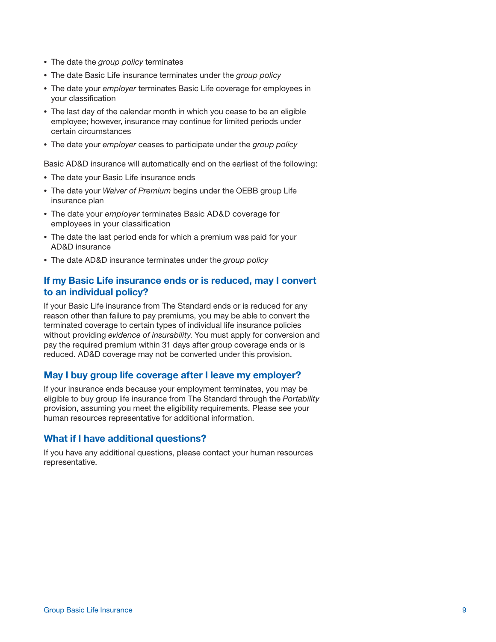- The date the *group policy* terminates
- The date Basic Life insurance terminates under the *group policy*
- The date your *employer* terminates Basic Life coverage for employees in your classification
- The last day of the calendar month in which you cease to be an eligible employee; however, insurance may continue for limited periods under certain circumstances
- The date your *employer* ceases to participate under the *group policy*

Basic AD&D insurance will automatically end on the earliest of the following:

- The date your Basic Life insurance ends
- The date your *Waiver of Premium* begins under the OEBB group Life insurance plan
- The date your *employer* terminates Basic AD&D coverage for employees in your classification
- The date the last period ends for which a premium was paid for your AD&D insurance
- The date AD&D insurance terminates under the *group policy*

# **If my Basic Life insurance ends or is reduced, may I convert to an individual policy?**

If your Basic Life insurance from The Standard ends or is reduced for any reason other than failure to pay premiums, you may be able to convert the terminated coverage to certain types of individual life insurance policies without providing *evidence of insurability*. You must apply for conversion and pay the required premium within 31 days after group coverage ends or is reduced. AD&D coverage may not be converted under this provision.

## **May I buy group life coverage after I leave my employer?**

If your insurance ends because your employment terminates, you may be eligible to buy group life insurance from The Standard through the *Portability* provision, assuming you meet the eligibility requirements. Please see your human resources representative for additional information.

## **What if I have additional questions?**

If you have any additional questions, please contact your human resources representative.